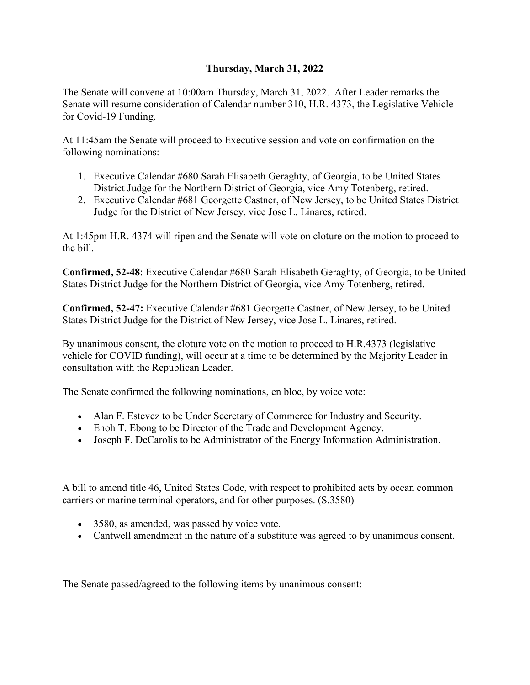## **Thursday, March 31, 2022**

The Senate will convene at 10:00am Thursday, March 31, 2022. After Leader remarks the Senate will resume consideration of Calendar number 310, H.R. 4373, the Legislative Vehicle for Covid-19 Funding.

At 11:45am the Senate will proceed to Executive session and vote on confirmation on the following nominations:

- 1. Executive Calendar #680 Sarah Elisabeth Geraghty, of Georgia, to be United States District Judge for the Northern District of Georgia, vice Amy Totenberg, retired.
- 2. Executive Calendar #681 Georgette Castner, of New Jersey, to be United States District Judge for the District of New Jersey, vice Jose L. Linares, retired.

At 1:45pm H.R. 4374 will ripen and the Senate will vote on cloture on the motion to proceed to the bill.

**Confirmed, 52-48**: Executive Calendar #680 Sarah Elisabeth Geraghty, of Georgia, to be United States District Judge for the Northern District of Georgia, vice Amy Totenberg, retired.

**Confirmed, 52-47:** Executive Calendar #681 Georgette Castner, of New Jersey, to be United States District Judge for the District of New Jersey, vice Jose L. Linares, retired.

By unanimous consent, the cloture vote on the motion to proceed to H.R.4373 (legislative vehicle for COVID funding), will occur at a time to be determined by the Majority Leader in consultation with the Republican Leader.

The Senate confirmed the following nominations, en bloc, by voice vote:

- Alan F. Estevez to be Under Secretary of Commerce for Industry and Security.
- Enoh T. Ebong to be Director of the Trade and Development Agency.
- Joseph F. DeCarolis to be Administrator of the Energy Information Administration.

A bill to amend title 46, United States Code, with respect to prohibited acts by ocean common carriers or marine terminal operators, and for other purposes. (S.3580)

- 3580, as amended, was passed by voice vote.
- Cantwell amendment in the nature of a substitute was agreed to by unanimous consent.

The Senate passed/agreed to the following items by unanimous consent: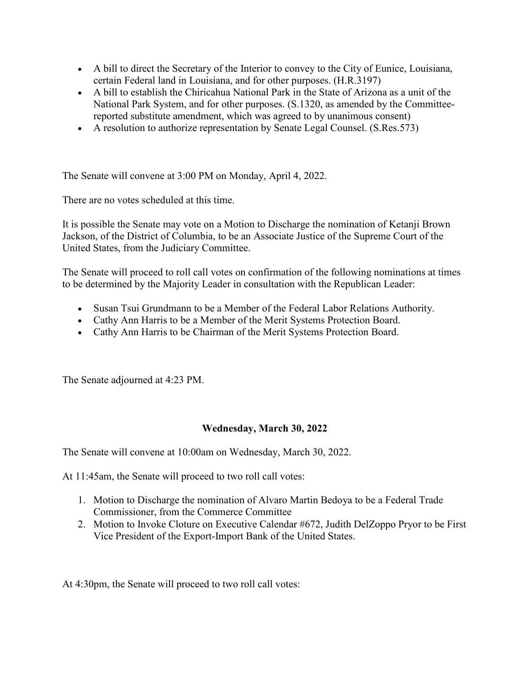- A bill to direct the Secretary of the Interior to convey to the City of Eunice, Louisiana, certain Federal land in Louisiana, and for other purposes. (H.R.3197)
- A bill to establish the Chiricahua National Park in the State of Arizona as a unit of the National Park System, and for other purposes. (S.1320, as amended by the Committeereported substitute amendment, which was agreed to by unanimous consent)
- A resolution to authorize representation by Senate Legal Counsel. (S.Res.573)

The Senate will convene at 3:00 PM on Monday, April 4, 2022.

There are no votes scheduled at this time.

It is possible the Senate may vote on a Motion to Discharge the nomination of Ketanji Brown Jackson, of the District of Columbia, to be an Associate Justice of the Supreme Court of the United States, from the Judiciary Committee.

The Senate will proceed to roll call votes on confirmation of the following nominations at times to be determined by the Majority Leader in consultation with the Republican Leader:

- Susan Tsui Grundmann to be a Member of the Federal Labor Relations Authority.
- Cathy Ann Harris to be a Member of the Merit Systems Protection Board.
- Cathy Ann Harris to be Chairman of the Merit Systems Protection Board.

The Senate adjourned at 4:23 PM.

## **Wednesday, March 30, 2022**

The Senate will convene at 10:00am on Wednesday, March 30, 2022.

At 11:45am, the Senate will proceed to two roll call votes:

- 1. Motion to Discharge the nomination of Alvaro Martin Bedoya to be a Federal Trade Commissioner, from the Commerce Committee
- 2. Motion to Invoke Cloture on Executive Calendar #672, Judith DelZoppo Pryor to be First Vice President of the Export-Import Bank of the United States.

At 4:30pm, the Senate will proceed to two roll call votes: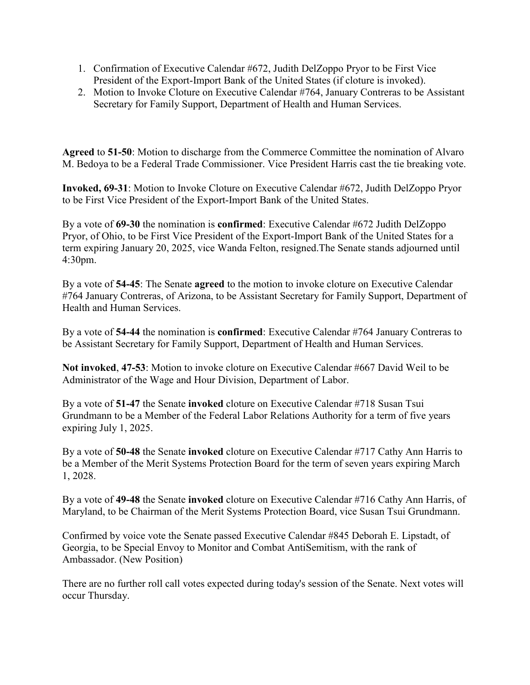- 1. Confirmation of Executive Calendar #672, Judith DelZoppo Pryor to be First Vice President of the Export-Import Bank of the United States (if cloture is invoked).
- 2. Motion to Invoke Cloture on Executive Calendar #764, January Contreras to be Assistant Secretary for Family Support, Department of Health and Human Services.

**Agreed** to **51-50**: Motion to discharge from the Commerce Committee the nomination of Alvaro M. Bedoya to be a Federal Trade Commissioner. Vice President Harris cast the tie breaking vote.

**Invoked, 69-31**: Motion to Invoke Cloture on Executive Calendar #672, Judith DelZoppo Pryor to be First Vice President of the Export-Import Bank of the United States.

By a vote of **69-30** the nomination is **confirmed**: Executive Calendar #672 Judith DelZoppo Pryor, of Ohio, to be First Vice President of the Export-Import Bank of the United States for a term expiring January 20, 2025, vice Wanda Felton, resigned.The Senate stands adjourned until 4:30pm.

By a vote of **54-45**: The Senate **agreed** to the motion to invoke cloture on Executive Calendar #764 January Contreras, of Arizona, to be Assistant Secretary for Family Support, Department of Health and Human Services.

By a vote of **54-44** the nomination is **confirmed**: Executive Calendar #764 January Contreras to be Assistant Secretary for Family Support, Department of Health and Human Services.

**Not invoked**, **47-53**: Motion to invoke cloture on Executive Calendar #667 David Weil to be Administrator of the Wage and Hour Division, Department of Labor.

By a vote of **51-47** the Senate **invoked** cloture on Executive Calendar #718 Susan Tsui Grundmann to be a Member of the Federal Labor Relations Authority for a term of five years expiring July 1, 2025.

By a vote of **50-48** the Senate **invoked** cloture on Executive Calendar #717 Cathy Ann Harris to be a Member of the Merit Systems Protection Board for the term of seven years expiring March 1, 2028.

By a vote of **49-48** the Senate **invoked** cloture on Executive Calendar #716 Cathy Ann Harris, of Maryland, to be Chairman of the Merit Systems Protection Board, vice Susan Tsui Grundmann.

Confirmed by voice vote the Senate passed Executive Calendar #845 Deborah E. Lipstadt, of Georgia, to be Special Envoy to Monitor and Combat AntiSemitism, with the rank of Ambassador. (New Position)

There are no further roll call votes expected during today's session of the Senate. Next votes will occur Thursday.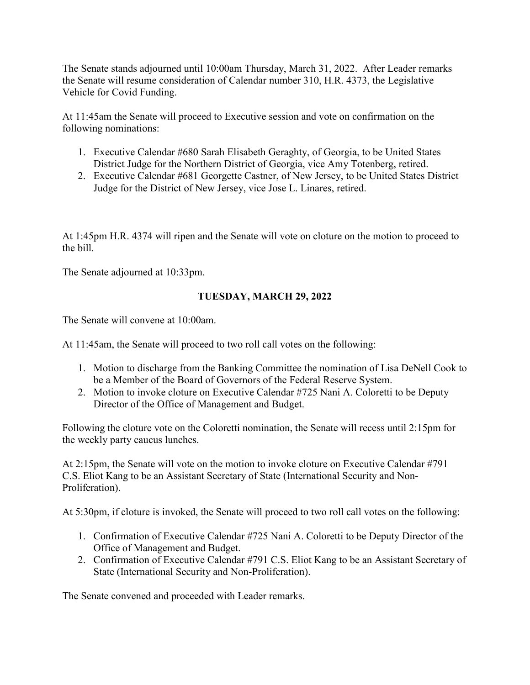The Senate stands adjourned until 10:00am Thursday, March 31, 2022. After Leader remarks the Senate will resume consideration of Calendar number 310, H.R. 4373, the Legislative Vehicle for Covid Funding.

At 11:45am the Senate will proceed to Executive session and vote on confirmation on the following nominations:

- 1. Executive Calendar #680 Sarah Elisabeth Geraghty, of Georgia, to be United States District Judge for the Northern District of Georgia, vice Amy Totenberg, retired.
- 2. Executive Calendar #681 Georgette Castner, of New Jersey, to be United States District Judge for the District of New Jersey, vice Jose L. Linares, retired.

At 1:45pm H.R. 4374 will ripen and the Senate will vote on cloture on the motion to proceed to the bill.

The Senate adjourned at 10:33pm.

# **TUESDAY, MARCH 29, 2022**

The Senate will convene at 10:00am.

At 11:45am, the Senate will proceed to two roll call votes on the following:

- 1. Motion to discharge from the Banking Committee the nomination of Lisa DeNell Cook to be a Member of the Board of Governors of the Federal Reserve System.
- 2. Motion to invoke cloture on Executive Calendar #725 Nani A. Coloretti to be Deputy Director of the Office of Management and Budget.

Following the cloture vote on the Coloretti nomination, the Senate will recess until 2:15pm for the weekly party caucus lunches.

At 2:15pm, the Senate will vote on the motion to invoke cloture on Executive Calendar #791 C.S. Eliot Kang to be an Assistant Secretary of State (International Security and Non-Proliferation).

At 5:30pm, if cloture is invoked, the Senate will proceed to two roll call votes on the following:

- 1. Confirmation of Executive Calendar #725 Nani A. Coloretti to be Deputy Director of the Office of Management and Budget.
- 2. Confirmation of Executive Calendar #791 C.S. Eliot Kang to be an Assistant Secretary of State (International Security and Non-Proliferation).

The Senate convened and proceeded with Leader remarks.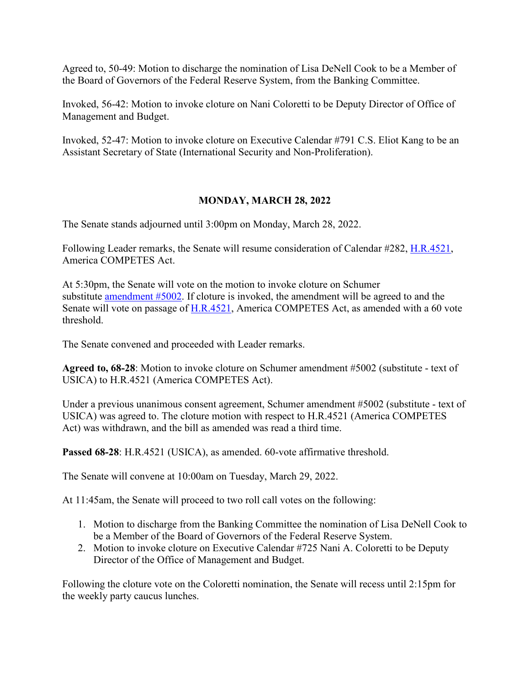Agreed to, 50-49: Motion to discharge the nomination of Lisa DeNell Cook to be a Member of the Board of Governors of the Federal Reserve System, from the Banking Committee.

Invoked, 56-42: Motion to invoke cloture on Nani Coloretti to be Deputy Director of Office of Management and Budget.

Invoked, 52-47: Motion to invoke cloture on Executive Calendar #791 C.S. Eliot Kang to be an Assistant Secretary of State (International Security and Non-Proliferation).

## **MONDAY, MARCH 28, 2022**

The Senate stands adjourned until 3:00pm on Monday, March 28, 2022.

Following Leader remarks, the Senate will resume consideration of Calendar #282, [H.R.4521,](http://www.congress.gov/bill/117th-congress/house-bill/4521) America COMPETES Act.

At 5:30pm, the Senate will vote on the motion to invoke cloture on Schumer substitute [amendment #5002.](http://www.congress.gov/amendment/117th-congress/senate-amendment/5002) If cloture is invoked, the amendment will be agreed to and the Senate will vote on passage of [H.R.4521,](http://www.congress.gov/bill/117th-congress/house-bill/4521) America COMPETES Act, as amended with a 60 vote threshold.

The Senate convened and proceeded with Leader remarks.

**Agreed to, 68-28**: Motion to invoke cloture on Schumer amendment #5002 (substitute - text of USICA) to H.R.4521 (America COMPETES Act).

Under a previous unanimous consent agreement, Schumer amendment #5002 (substitute - text of USICA) was agreed to. The cloture motion with respect to H.R.4521 (America COMPETES Act) was withdrawn, and the bill as amended was read a third time.

**Passed 68-28**: H.R.4521 (USICA), as amended. 60-vote affirmative threshold.

The Senate will convene at 10:00am on Tuesday, March 29, 2022.

At 11:45am, the Senate will proceed to two roll call votes on the following:

- 1. Motion to discharge from the Banking Committee the nomination of Lisa DeNell Cook to be a Member of the Board of Governors of the Federal Reserve System.
- 2. Motion to invoke cloture on Executive Calendar #725 Nani A. Coloretti to be Deputy Director of the Office of Management and Budget.

Following the cloture vote on the Coloretti nomination, the Senate will recess until 2:15pm for the weekly party caucus lunches.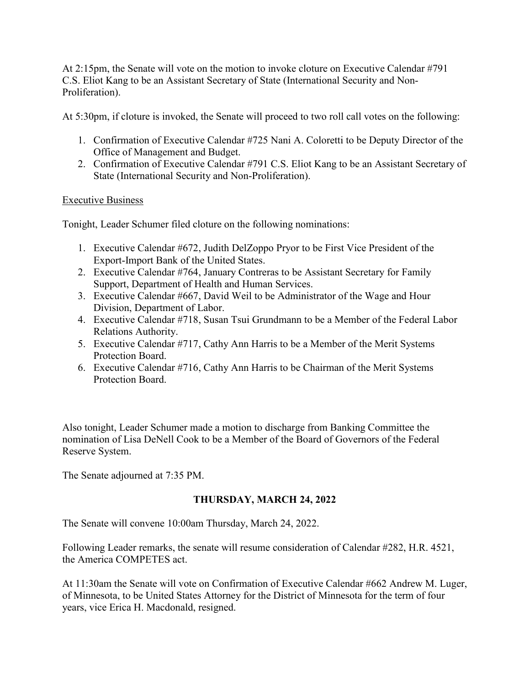At 2:15pm, the Senate will vote on the motion to invoke cloture on Executive Calendar #791 C.S. Eliot Kang to be an Assistant Secretary of State (International Security and Non-Proliferation).

At 5:30pm, if cloture is invoked, the Senate will proceed to two roll call votes on the following:

- 1. Confirmation of Executive Calendar #725 Nani A. Coloretti to be Deputy Director of the Office of Management and Budget.
- 2. Confirmation of Executive Calendar #791 C.S. Eliot Kang to be an Assistant Secretary of State (International Security and Non-Proliferation).

## Executive Business

Tonight, Leader Schumer filed cloture on the following nominations:

- 1. Executive Calendar #672, Judith DelZoppo Pryor to be First Vice President of the Export-Import Bank of the United States.
- 2. Executive Calendar #764, January Contreras to be Assistant Secretary for Family Support, Department of Health and Human Services.
- 3. Executive Calendar #667, David Weil to be Administrator of the Wage and Hour Division, Department of Labor.
- 4. Executive Calendar #718, Susan Tsui Grundmann to be a Member of the Federal Labor Relations Authority.
- 5. Executive Calendar #717, Cathy Ann Harris to be a Member of the Merit Systems Protection Board.
- 6. Executive Calendar #716, Cathy Ann Harris to be Chairman of the Merit Systems Protection Board.

Also tonight, Leader Schumer made a motion to discharge from Banking Committee the nomination of Lisa DeNell Cook to be a Member of the Board of Governors of the Federal Reserve System.

The Senate adjourned at 7:35 PM.

# **THURSDAY, MARCH 24, 2022**

The Senate will convene 10:00am Thursday, March 24, 2022.

Following Leader remarks, the senate will resume consideration of Calendar #282, H.R. 4521, the America COMPETES act.

At 11:30am the Senate will vote on Confirmation of Executive Calendar #662 Andrew M. Luger, of Minnesota, to be United States Attorney for the District of Minnesota for the term of four years, vice Erica H. Macdonald, resigned.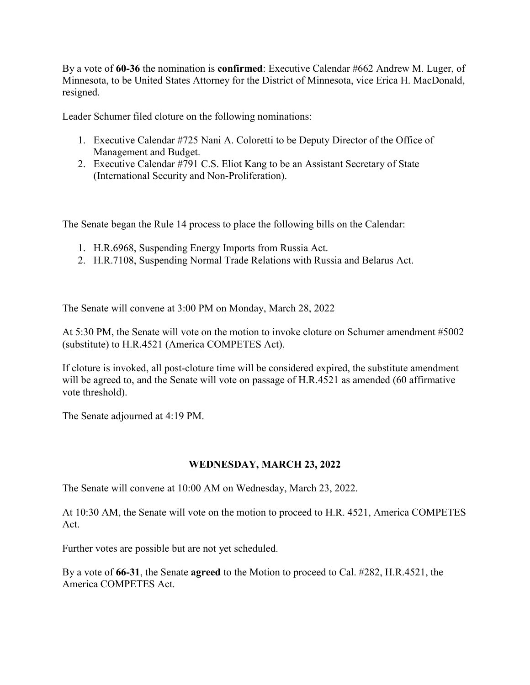By a vote of **60-36** the nomination is **confirmed**: Executive Calendar #662 Andrew M. Luger, of Minnesota, to be United States Attorney for the District of Minnesota, vice Erica H. MacDonald, resigned.

Leader Schumer filed cloture on the following nominations:

- 1. Executive Calendar #725 Nani A. Coloretti to be Deputy Director of the Office of Management and Budget.
- 2. Executive Calendar #791 C.S. Eliot Kang to be an Assistant Secretary of State (International Security and Non-Proliferation).

The Senate began the Rule 14 process to place the following bills on the Calendar:

- 1. H.R.6968, Suspending Energy Imports from Russia Act.
- 2. H.R.7108, Suspending Normal Trade Relations with Russia and Belarus Act.

The Senate will convene at 3:00 PM on Monday, March 28, 2022

At 5:30 PM, the Senate will vote on the motion to invoke cloture on Schumer amendment #5002 (substitute) to H.R.4521 (America COMPETES Act).

If cloture is invoked, all post-cloture time will be considered expired, the substitute amendment will be agreed to, and the Senate will vote on passage of H.R.4521 as amended (60 affirmative vote threshold).

The Senate adjourned at 4:19 PM.

## **WEDNESDAY, MARCH 23, 2022**

The Senate will convene at 10:00 AM on Wednesday, March 23, 2022.

At 10:30 AM, the Senate will vote on the motion to proceed to H.R. 4521, America COMPETES Act.

Further votes are possible but are not yet scheduled.

By a vote of **66-31**, the Senate **agreed** to the Motion to proceed to Cal. #282, H.R.4521, the America COMPETES Act.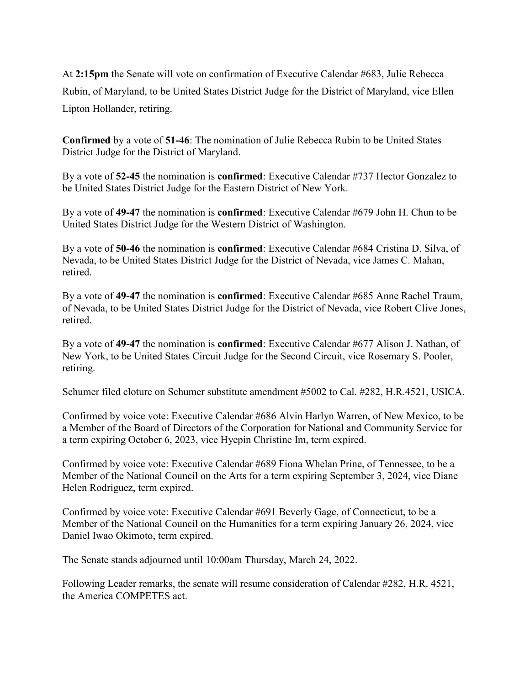At **2:15pm** the Senate will vote on confirmation of Executive Calendar #683, Julie Rebecca Rubin, of Maryland, to be United States District Judge for the District of Maryland, vice Ellen Lipton Hollander, retiring.

**Confirmed** by a vote of **51-46**: The nomination of Julie Rebecca Rubin to be United States District Judge for the District of Maryland.

By a vote of **52-45** the nomination is **confirmed**: Executive Calendar #737 Hector Gonzalez to be United States District Judge for the Eastern District of New York.

By a vote of **49-47** the nomination is **confirmed**: Executive Calendar #679 John H. Chun to be United States District Judge for the Western District of Washington.

By a vote of **50-46** the nomination is **confirmed**: Executive Calendar #684 Cristina D. Silva, of Nevada, to be United States District Judge for the District of Nevada, vice James C. Mahan, retired.

By a vote of **49-47** the nomination is **confirmed**: Executive Calendar #685 Anne Rachel Traum, of Nevada, to be United States District Judge for the District of Nevada, vice Robert Clive Jones, retired.

By a vote of **49-47** the nomination is **confirmed**: Executive Calendar #677 Alison J. Nathan, of New York, to be United States Circuit Judge for the Second Circuit, vice Rosemary S. Pooler, retiring.

Schumer filed cloture on Schumer substitute amendment #5002 to Cal. #282, H.R.4521, USICA.

Confirmed by voice vote: Executive Calendar #686 Alvin Harlyn Warren, of New Mexico, to be a Member of the Board of Directors of the Corporation for National and Community Service for a term expiring October 6, 2023, vice Hyepin Christine Im, term expired.

Confirmed by voice vote: Executive Calendar #689 Fiona Whelan Prine, of Tennessee, to be a Member of the National Council on the Arts for a term expiring September 3, 2024, vice Diane Helen Rodriguez, term expired.

Confirmed by voice vote: Executive Calendar #691 Beverly Gage, of Connecticut, to be a Member of the National Council on the Humanities for a term expiring January 26, 2024, vice Daniel Iwao Okimoto, term expired.

The Senate stands adjourned until 10:00am Thursday, March 24, 2022.

Following Leader remarks, the senate will resume consideration of Calendar #282, H.R. 4521, the America COMPETES act.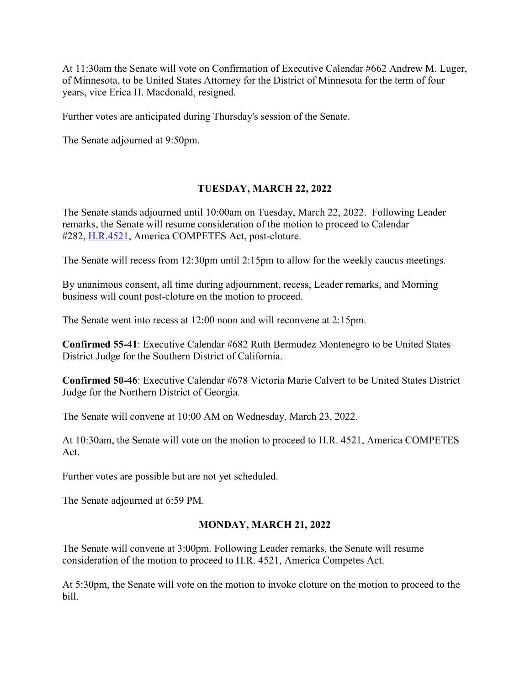At 11:30am the Senate will vote on Confirmation of Executive Calendar #662 Andrew M. Luger, of Minnesota, to be United States Attorney for the District of Minnesota for the term of four years, vice Erica H. Macdonald, resigned.

Further votes are anticipated during Thursday's session of the Senate.

The Senate adjourned at 9:50pm.

## **TUESDAY, MARCH 22, 2022**

The Senate stands adjourned until 10:00am on Tuesday, March 22, 2022. Following Leader remarks, the Senate will resume consideration of the motion to proceed to Calendar #282, [H.R.4521,](http://www.congress.gov/bill/117th-congress/house-bill/4521) America COMPETES Act, post-cloture.

The Senate will recess from 12:30pm until 2:15pm to allow for the weekly caucus meetings.

By unanimous consent, all time during adjournment, recess, Leader remarks, and Morning business will count post-cloture on the motion to proceed.

The Senate went into recess at 12:00 noon and will reconvene at 2:15pm.

**Confirmed 55-41**: Executive Calendar #682 Ruth Bermudez Montenegro to be United States District Judge for the Southern District of California.

**Confirmed 50-46**: Executive Calendar #678 Victoria Marie Calvert to be United States District Judge for the Northern District of Georgia.

The Senate will convene at 10:00 AM on Wednesday, March 23, 2022.

At 10:30am, the Senate will vote on the motion to proceed to H.R. 4521, America COMPETES Act.

Further votes are possible but are not yet scheduled.

The Senate adjourned at 6:59 PM.

## **MONDAY, MARCH 21, 2022**

The Senate will convene at 3:00pm. Following Leader remarks, the Senate will resume consideration of the motion to proceed to H.R. 4521, America Competes Act.

At 5:30pm, the Senate will vote on the motion to invoke cloture on the motion to proceed to the bill.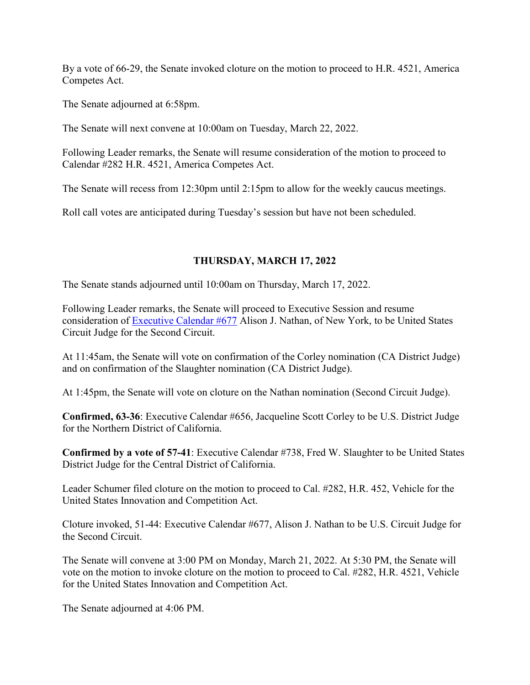By a vote of 66-29, the Senate invoked cloture on the motion to proceed to H.R. 4521, America Competes Act.

The Senate adjourned at 6:58pm.

The Senate will next convene at 10:00am on Tuesday, March 22, 2022.

Following Leader remarks, the Senate will resume consideration of the motion to proceed to Calendar #282 H.R. 4521, America Competes Act.

The Senate will recess from 12:30pm until 2:15pm to allow for the weekly caucus meetings.

Roll call votes are anticipated during Tuesday's session but have not been scheduled.

## **THURSDAY, MARCH 17, 2022**

The Senate stands adjourned until 10:00am on Thursday, March 17, 2022.

Following Leader remarks, the Senate will proceed to Executive Session and resume consideration of [Executive Calendar #677](https://www.congress.gov/search?searchResultViewType=compact&q=%7b%22source%22:%22nominations%22,%22search%22:%22calendar+677%22,%22congress%22:%22117%22%7d) Alison J. Nathan, of New York, to be United States Circuit Judge for the Second Circuit.

At 11:45am, the Senate will vote on confirmation of the Corley nomination (CA District Judge) and on confirmation of the Slaughter nomination (CA District Judge).

At 1:45pm, the Senate will vote on cloture on the Nathan nomination (Second Circuit Judge).

**Confirmed, 63-36**: Executive Calendar #656, Jacqueline Scott Corley to be U.S. District Judge for the Northern District of California.

**Confirmed by a vote of 57-41**: Executive Calendar #738, Fred W. Slaughter to be United States District Judge for the Central District of California.

Leader Schumer filed cloture on the motion to proceed to Cal. #282, H.R. 452, Vehicle for the United States Innovation and Competition Act.

Cloture invoked, 51-44: Executive Calendar #677, Alison J. Nathan to be U.S. Circuit Judge for the Second Circuit.

The Senate will convene at 3:00 PM on Monday, March 21, 2022. At 5:30 PM, the Senate will vote on the motion to invoke cloture on the motion to proceed to Cal. #282, H.R. 4521, Vehicle for the United States Innovation and Competition Act.

The Senate adjourned at 4:06 PM.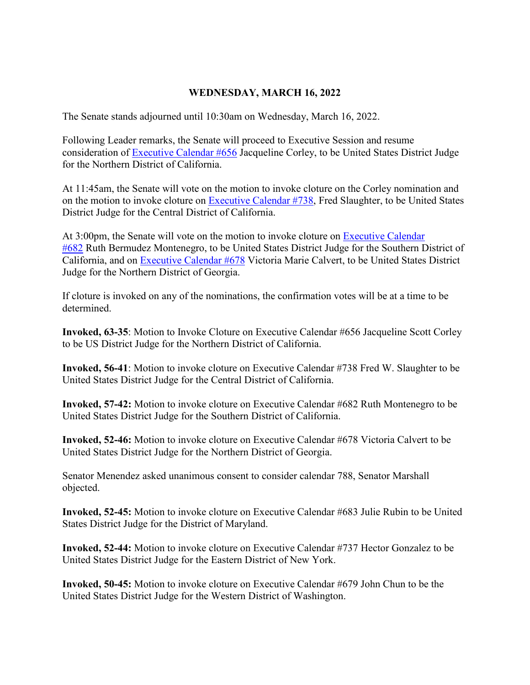#### **WEDNESDAY, MARCH 16, 2022**

The Senate stands adjourned until 10:30am on Wednesday, March 16, 2022.

Following Leader remarks, the Senate will proceed to Executive Session and resume consideration of [Executive Calendar #656](https://www.congress.gov/search?searchResultViewType=compact&q=%7b%22source%22:%22nominations%22,%22search%22:%22calendar+656%22,%22congress%22:%22117%22%7d) Jacqueline Corley, to be United States District Judge for the Northern District of California.

At 11:45am, the Senate will vote on the motion to invoke cloture on the Corley nomination and on the motion to invoke cloture on [Executive Calendar #738,](https://www.congress.gov/search?searchResultViewType=compact&q=%7b%22source%22:%22nominations%22,%22search%22:%22calendar+738%22,%22congress%22:%22117%22%7d) Fred Slaughter, to be United States District Judge for the Central District of California.

At 3:00pm, the Senate will vote on the motion to invoke cloture on [Executive Calendar](https://www.congress.gov/search?searchResultViewType=compact&q=%7b%22source%22:%22nominations%22,%22search%22:%22calendar+682%22,%22congress%22:%22117%22%7d)  [#682](https://www.congress.gov/search?searchResultViewType=compact&q=%7b%22source%22:%22nominations%22,%22search%22:%22calendar+682%22,%22congress%22:%22117%22%7d) Ruth Bermudez Montenegro, to be United States District Judge for the Southern District of California, and on [Executive Calendar #678](https://www.congress.gov/search?searchResultViewType=compact&q=%7b%22source%22:%22nominations%22,%22search%22:%22calendar+678%22,%22congress%22:%22117%22%7d) Victoria Marie Calvert, to be United States District Judge for the Northern District of Georgia.

If cloture is invoked on any of the nominations, the confirmation votes will be at a time to be determined.

**Invoked, 63-35**: Motion to Invoke Cloture on Executive Calendar #656 Jacqueline Scott Corley to be US District Judge for the Northern District of California.

**Invoked, 56-41**: Motion to invoke cloture on Executive Calendar #738 Fred W. Slaughter to be United States District Judge for the Central District of California.

**Invoked, 57-42:** Motion to invoke cloture on Executive Calendar #682 Ruth Montenegro to be United States District Judge for the Southern District of California.

**Invoked, 52-46:** Motion to invoke cloture on Executive Calendar #678 Victoria Calvert to be United States District Judge for the Northern District of Georgia.

Senator Menendez asked unanimous consent to consider calendar 788, Senator Marshall objected.

**Invoked, 52-45:** Motion to invoke cloture on Executive Calendar #683 Julie Rubin to be United States District Judge for the District of Maryland.

**Invoked, 52-44:** Motion to invoke cloture on Executive Calendar #737 Hector Gonzalez to be United States District Judge for the Eastern District of New York.

**Invoked, 50-45:** Motion to invoke cloture on Executive Calendar #679 John Chun to be the United States District Judge for the Western District of Washington.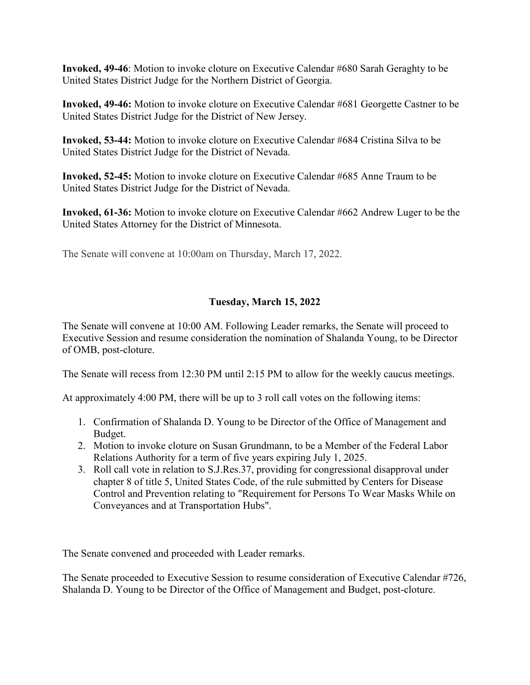**Invoked, 49-46**: Motion to invoke cloture on Executive Calendar #680 Sarah Geraghty to be United States District Judge for the Northern District of Georgia.

**Invoked, 49-46:** Motion to invoke cloture on Executive Calendar #681 Georgette Castner to be United States District Judge for the District of New Jersey.

**Invoked, 53-44:** Motion to invoke cloture on Executive Calendar #684 Cristina Silva to be United States District Judge for the District of Nevada.

**Invoked, 52-45:** Motion to invoke cloture on Executive Calendar #685 Anne Traum to be United States District Judge for the District of Nevada.

**Invoked, 61-36:** Motion to invoke cloture on Executive Calendar #662 Andrew Luger to be the United States Attorney for the District of Minnesota.

The Senate will convene at 10:00am on Thursday, March 17, 2022.

## **Tuesday, March 15, 2022**

The Senate will convene at 10:00 AM. Following Leader remarks, the Senate will proceed to Executive Session and resume consideration the nomination of Shalanda Young, to be Director of OMB, post-cloture.

The Senate will recess from 12:30 PM until 2:15 PM to allow for the weekly caucus meetings.

At approximately 4:00 PM, there will be up to 3 roll call votes on the following items:

- 1. Confirmation of Shalanda D. Young to be Director of the Office of Management and Budget.
- 2. Motion to invoke cloture on Susan Grundmann, to be a Member of the Federal Labor Relations Authority for a term of five years expiring July 1, 2025.
- 3. Roll call vote in relation to S.J.Res.37, providing for congressional disapproval under chapter 8 of title 5, United States Code, of the rule submitted by Centers for Disease Control and Prevention relating to "Requirement for Persons To Wear Masks While on Conveyances and at Transportation Hubs".

The Senate convened and proceeded with Leader remarks.

The Senate proceeded to Executive Session to resume consideration of Executive Calendar #726, Shalanda D. Young to be Director of the Office of Management and Budget, post-cloture.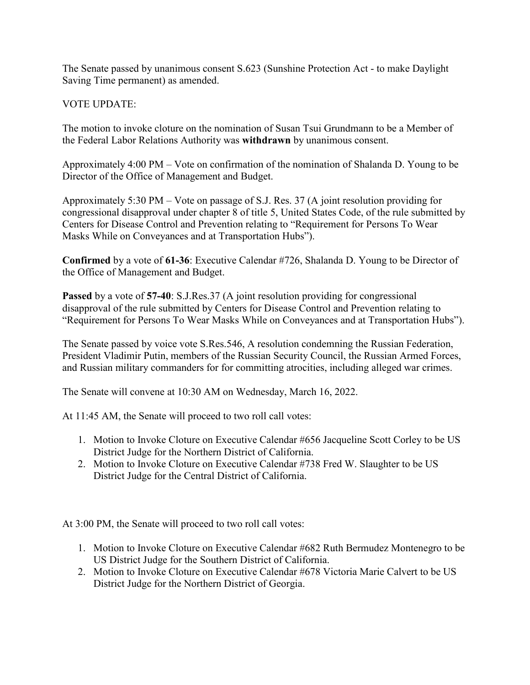The Senate passed by unanimous consent S.623 (Sunshine Protection Act - to make Daylight Saving Time permanent) as amended.

## VOTE UPDATE:

The motion to invoke cloture on the nomination of Susan Tsui Grundmann to be a Member of the Federal Labor Relations Authority was **withdrawn** by unanimous consent.

Approximately 4:00 PM – Vote on confirmation of the nomination of Shalanda D. Young to be Director of the Office of Management and Budget.

Approximately 5:30 PM – Vote on passage of S.J. Res. 37 (A joint resolution providing for congressional disapproval under chapter 8 of title 5, United States Code, of the rule submitted by Centers for Disease Control and Prevention relating to "Requirement for Persons To Wear Masks While on Conveyances and at Transportation Hubs").

**Confirmed** by a vote of **61-36**: Executive Calendar #726, Shalanda D. Young to be Director of the Office of Management and Budget.

**Passed** by a vote of **57-40**: S.J.Res.37 (A joint resolution providing for congressional disapproval of the rule submitted by Centers for Disease Control and Prevention relating to "Requirement for Persons To Wear Masks While on Conveyances and at Transportation Hubs").

The Senate passed by voice vote S.Res.546, A resolution condemning the Russian Federation, President Vladimir Putin, members of the Russian Security Council, the Russian Armed Forces, and Russian military commanders for for committing atrocities, including alleged war crimes.

The Senate will convene at 10:30 AM on Wednesday, March 16, 2022.

At 11:45 AM, the Senate will proceed to two roll call votes:

- 1. Motion to Invoke Cloture on Executive Calendar #656 Jacqueline Scott Corley to be US District Judge for the Northern District of California.
- 2. Motion to Invoke Cloture on Executive Calendar #738 Fred W. Slaughter to be US District Judge for the Central District of California.

At 3:00 PM, the Senate will proceed to two roll call votes:

- 1. Motion to Invoke Cloture on Executive Calendar #682 Ruth Bermudez Montenegro to be US District Judge for the Southern District of California.
- 2. Motion to Invoke Cloture on Executive Calendar #678 Victoria Marie Calvert to be US District Judge for the Northern District of Georgia.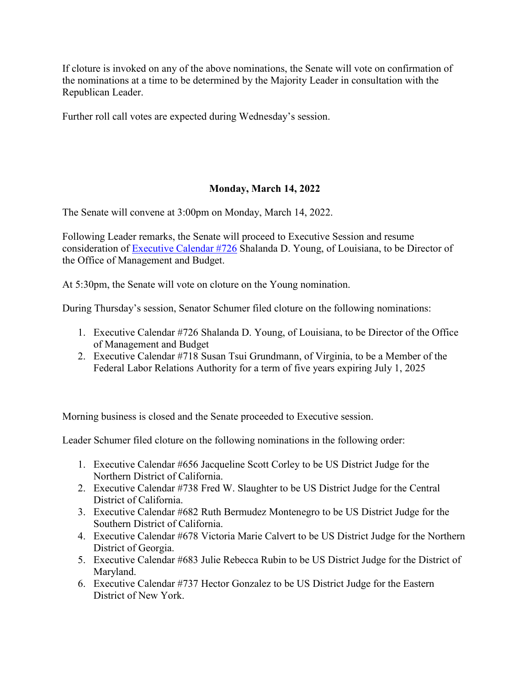If cloture is invoked on any of the above nominations, the Senate will vote on confirmation of the nominations at a time to be determined by the Majority Leader in consultation with the Republican Leader.

Further roll call votes are expected during Wednesday's session.

## **Monday, March 14, 2022**

The Senate will convene at 3:00pm on Monday, March 14, 2022.

Following Leader remarks, the Senate will proceed to Executive Session and resume consideration of [Executive Calendar #726](https://www.congress.gov/search?searchResultViewType=compact&q=%7b%22source%22:%22nominations%22,%22search%22:%22calendar+726%22,%22congress%22:%22117%22%7d) Shalanda D. Young, of Louisiana, to be Director of the Office of Management and Budget.

At 5:30pm, the Senate will vote on cloture on the Young nomination.

During Thursday's session, Senator Schumer filed cloture on the following nominations:

- 1. Executive Calendar #726 Shalanda D. Young, of Louisiana, to be Director of the Office of Management and Budget
- 2. Executive Calendar #718 Susan Tsui Grundmann, of Virginia, to be a Member of the Federal Labor Relations Authority for a term of five years expiring July 1, 2025

Morning business is closed and the Senate proceeded to Executive session.

Leader Schumer filed cloture on the following nominations in the following order:

- 1. Executive Calendar #656 Jacqueline Scott Corley to be US District Judge for the Northern District of California.
- 2. Executive Calendar #738 Fred W. Slaughter to be US District Judge for the Central District of California.
- 3. Executive Calendar #682 Ruth Bermudez Montenegro to be US District Judge for the Southern District of California.
- 4. Executive Calendar #678 Victoria Marie Calvert to be US District Judge for the Northern District of Georgia.
- 5. Executive Calendar #683 Julie Rebecca Rubin to be US District Judge for the District of Maryland.
- 6. Executive Calendar #737 Hector Gonzalez to be US District Judge for the Eastern District of New York.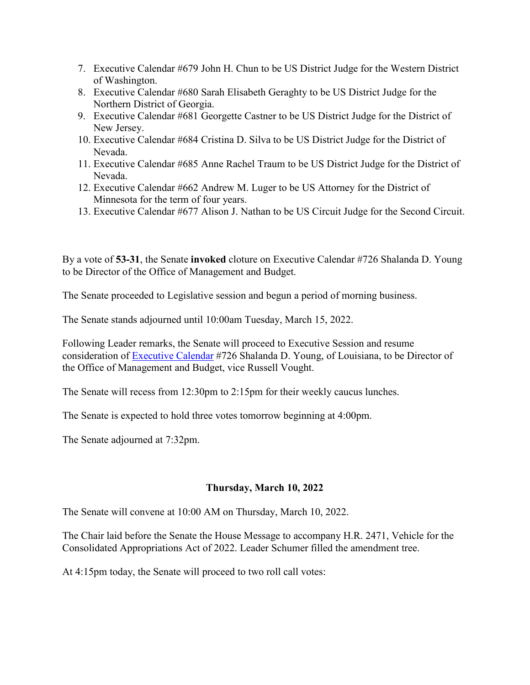- 7. Executive Calendar #679 John H. Chun to be US District Judge for the Western District of Washington.
- 8. Executive Calendar #680 Sarah Elisabeth Geraghty to be US District Judge for the Northern District of Georgia.
- 9. Executive Calendar #681 Georgette Castner to be US District Judge for the District of New Jersey.
- 10. Executive Calendar #684 Cristina D. Silva to be US District Judge for the District of Nevada.
- 11. Executive Calendar #685 Anne Rachel Traum to be US District Judge for the District of Nevada.
- 12. Executive Calendar #662 Andrew M. Luger to be US Attorney for the District of Minnesota for the term of four years.
- 13. Executive Calendar #677 Alison J. Nathan to be US Circuit Judge for the Second Circuit.

By a vote of **53-31**, the Senate **invoked** cloture on Executive Calendar #726 Shalanda D. Young to be Director of the Office of Management and Budget.

The Senate proceeded to Legislative session and begun a period of morning business.

The Senate stands adjourned until 10:00am Tuesday, March 15, 2022.

Following Leader remarks, the Senate will proceed to Executive Session and resume consideration of [Executive Calendar](https://www.congress.gov/search?searchResultViewType=compact&q=%7b%22source%22:%22nominations%22,%22search%22:%22calendar+726%22,%22congress%22:%22117%22%7d) #726 Shalanda D. Young, of Louisiana, to be Director of the Office of Management and Budget, vice Russell Vought.

The Senate will recess from 12:30pm to 2:15pm for their weekly caucus lunches.

The Senate is expected to hold three votes tomorrow beginning at 4:00pm.

The Senate adjourned at 7:32pm.

#### **Thursday, March 10, 2022**

The Senate will convene at 10:00 AM on Thursday, March 10, 2022.

The Chair laid before the Senate the House Message to accompany H.R. 2471, Vehicle for the Consolidated Appropriations Act of 2022. Leader Schumer filled the amendment tree.

At 4:15pm today, the Senate will proceed to two roll call votes: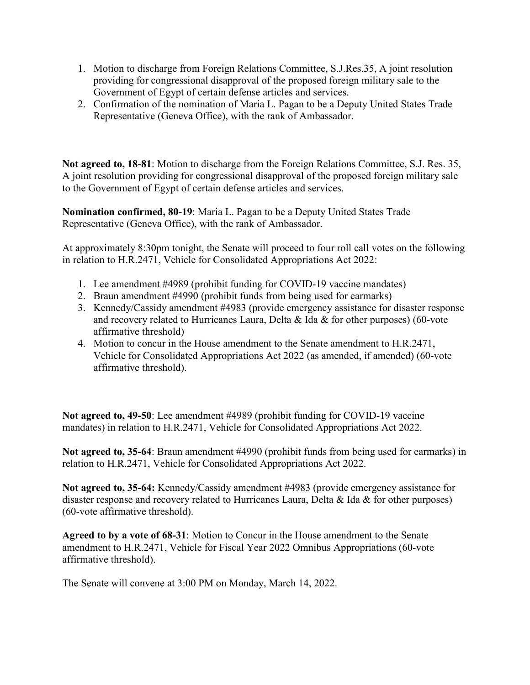- 1. Motion to discharge from Foreign Relations Committee, S.J.Res.35, A joint resolution providing for congressional disapproval of the proposed foreign military sale to the Government of Egypt of certain defense articles and services.
- 2. Confirmation of the nomination of Maria L. Pagan to be a Deputy United States Trade Representative (Geneva Office), with the rank of Ambassador.

**Not agreed to, 18-81**: Motion to discharge from the Foreign Relations Committee, S.J. Res. 35, A joint resolution providing for congressional disapproval of the proposed foreign military sale to the Government of Egypt of certain defense articles and services.

**Nomination confirmed, 80-19**: Maria L. Pagan to be a Deputy United States Trade Representative (Geneva Office), with the rank of Ambassador.

At approximately 8:30pm tonight, the Senate will proceed to four roll call votes on the following in relation to H.R.2471, Vehicle for Consolidated Appropriations Act 2022:

- 1. Lee amendment #4989 (prohibit funding for COVID-19 vaccine mandates)
- 2. Braun amendment #4990 (prohibit funds from being used for earmarks)
- 3. Kennedy/Cassidy amendment #4983 (provide emergency assistance for disaster response and recovery related to Hurricanes Laura, Delta & Ida & for other purposes) (60-vote affirmative threshold)
- 4. Motion to concur in the House amendment to the Senate amendment to H.R.2471, Vehicle for Consolidated Appropriations Act 2022 (as amended, if amended) (60-vote affirmative threshold).

**Not agreed to, 49-50**: Lee amendment #4989 (prohibit funding for COVID-19 vaccine mandates) in relation to H.R.2471, Vehicle for Consolidated Appropriations Act 2022.

**Not agreed to, 35-64**: Braun amendment #4990 (prohibit funds from being used for earmarks) in relation to H.R.2471, Vehicle for Consolidated Appropriations Act 2022.

**Not agreed to, 35-64:** Kennedy/Cassidy amendment #4983 (provide emergency assistance for disaster response and recovery related to Hurricanes Laura, Delta & Ida & for other purposes) (60-vote affirmative threshold).

**Agreed to by a vote of 68-31**: Motion to Concur in the House amendment to the Senate amendment to H.R.2471, Vehicle for Fiscal Year 2022 Omnibus Appropriations (60-vote affirmative threshold).

The Senate will convene at 3:00 PM on Monday, March 14, 2022.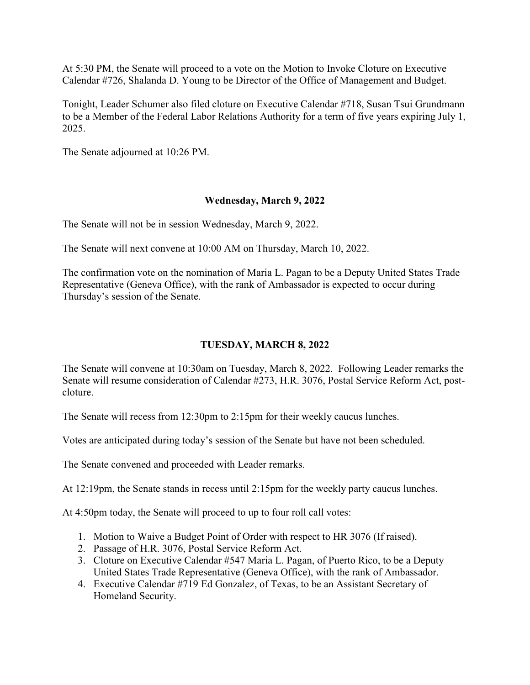At 5:30 PM, the Senate will proceed to a vote on the Motion to Invoke Cloture on Executive Calendar #726, Shalanda D. Young to be Director of the Office of Management and Budget.

Tonight, Leader Schumer also filed cloture on Executive Calendar #718, Susan Tsui Grundmann to be a Member of the Federal Labor Relations Authority for a term of five years expiring July 1, 2025.

The Senate adjourned at 10:26 PM.

## **Wednesday, March 9, 2022**

The Senate will not be in session Wednesday, March 9, 2022.

The Senate will next convene at 10:00 AM on Thursday, March 10, 2022.

The confirmation vote on the nomination of Maria L. Pagan to be a Deputy United States Trade Representative (Geneva Office), with the rank of Ambassador is expected to occur during Thursday's session of the Senate.

## **TUESDAY, MARCH 8, 2022**

The Senate will convene at 10:30am on Tuesday, March 8, 2022. Following Leader remarks the Senate will resume consideration of Calendar #273, H.R. 3076, Postal Service Reform Act, postcloture.

The Senate will recess from 12:30pm to 2:15pm for their weekly caucus lunches.

Votes are anticipated during today's session of the Senate but have not been scheduled.

The Senate convened and proceeded with Leader remarks.

At 12:19pm, the Senate stands in recess until 2:15pm for the weekly party caucus lunches.

At 4:50pm today, the Senate will proceed to up to four roll call votes:

- 1. Motion to Waive a Budget Point of Order with respect to HR 3076 (If raised).
- 2. Passage of H.R. 3076, Postal Service Reform Act.
- 3. Cloture on Executive Calendar #547 Maria L. Pagan, of Puerto Rico, to be a Deputy United States Trade Representative (Geneva Office), with the rank of Ambassador.
- 4. Executive Calendar #719 Ed Gonzalez, of Texas, to be an Assistant Secretary of Homeland Security.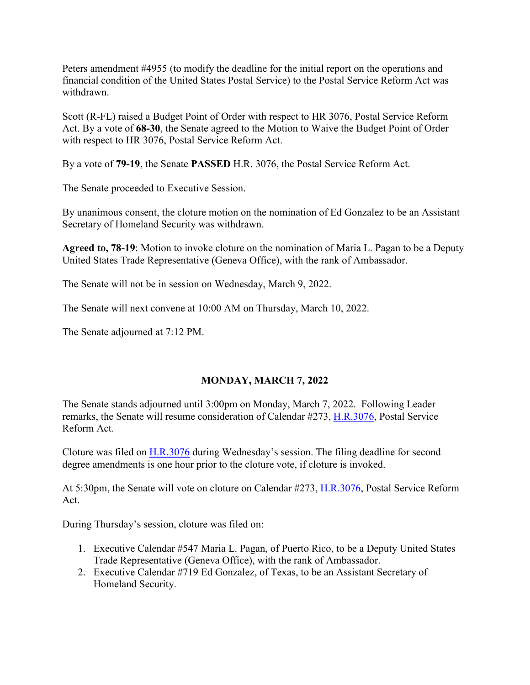Peters amendment #4955 (to modify the deadline for the initial report on the operations and financial condition of the United States Postal Service) to the Postal Service Reform Act was withdrawn.

Scott (R-FL) raised a Budget Point of Order with respect to HR 3076, Postal Service Reform Act. By a vote of **68-30**, the Senate agreed to the Motion to Waive the Budget Point of Order with respect to HR 3076, Postal Service Reform Act.

By a vote of **79-19**, the Senate **PASSED** H.R. 3076, the Postal Service Reform Act.

The Senate proceeded to Executive Session.

By unanimous consent, the cloture motion on the nomination of Ed Gonzalez to be an Assistant Secretary of Homeland Security was withdrawn.

**Agreed to, 78-19**: Motion to invoke cloture on the nomination of Maria L. Pagan to be a Deputy United States Trade Representative (Geneva Office), with the rank of Ambassador.

The Senate will not be in session on Wednesday, March 9, 2022.

The Senate will next convene at 10:00 AM on Thursday, March 10, 2022.

The Senate adjourned at 7:12 PM.

## **MONDAY, MARCH 7, 2022**

The Senate stands adjourned until 3:00pm on Monday, March 7, 2022. Following Leader remarks, the Senate will resume consideration of Calendar #273, [H.R.3076,](http://www.congress.gov/bill/117th-congress/house-bill/3076) Postal Service Reform Act.

Cloture was filed on [H.R.3076](http://www.congress.gov/bill/117th-congress/house-bill/3076) during Wednesday's session. The filing deadline for second degree amendments is one hour prior to the cloture vote, if cloture is invoked.

At 5:30pm, the Senate will vote on cloture on Calendar #273, [H.R.3076,](http://www.congress.gov/bill/117th-congress/house-bill/3076) Postal Service Reform Act.

During Thursday's session, cloture was filed on:

- 1. Executive Calendar #547 Maria L. Pagan, of Puerto Rico, to be a Deputy United States Trade Representative (Geneva Office), with the rank of Ambassador.
- 2. Executive Calendar #719 Ed Gonzalez, of Texas, to be an Assistant Secretary of Homeland Security.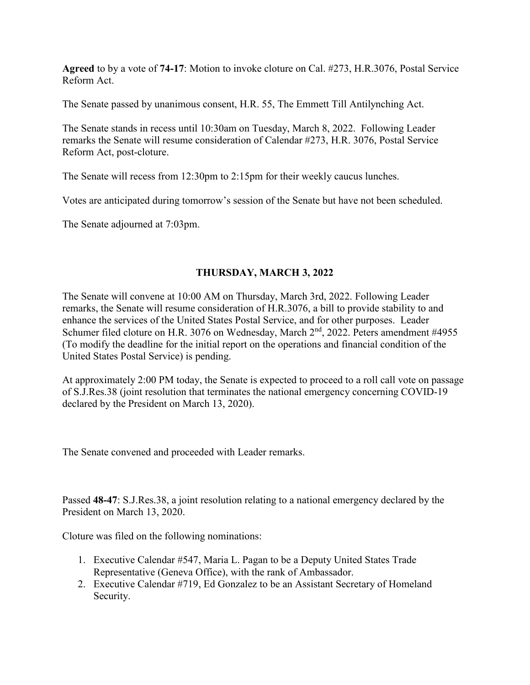**Agreed** to by a vote of **74-17**: Motion to invoke cloture on Cal. #273, H.R.3076, Postal Service Reform Act.

The Senate passed by unanimous consent, H.R. 55, The Emmett Till Antilynching Act.

The Senate stands in recess until 10:30am on Tuesday, March 8, 2022. Following Leader remarks the Senate will resume consideration of Calendar #273, H.R. 3076, Postal Service Reform Act, post-cloture.

The Senate will recess from 12:30pm to 2:15pm for their weekly caucus lunches.

Votes are anticipated during tomorrow's session of the Senate but have not been scheduled.

The Senate adjourned at 7:03pm.

## **THURSDAY, MARCH 3, 2022**

The Senate will convene at 10:00 AM on Thursday, March 3rd, 2022. Following Leader remarks, the Senate will resume consideration of H.R.3076, a bill to provide stability to and enhance the services of the United States Postal Service, and for other purposes. Leader Schumer filed cloture on H.R. 3076 on Wednesday, March 2<sup>nd</sup>, 2022. Peters amendment #4955 (To modify the deadline for the initial report on the operations and financial condition of the United States Postal Service) is pending.

At approximately 2:00 PM today, the Senate is expected to proceed to a roll call vote on passage of S.J.Res.38 (joint resolution that terminates the national emergency concerning COVID-19 declared by the President on March 13, 2020).

The Senate convened and proceeded with Leader remarks.

Passed **48-47**: S.J.Res.38, a joint resolution relating to a national emergency declared by the President on March 13, 2020.

Cloture was filed on the following nominations:

- 1. Executive Calendar #547, Maria L. Pagan to be a Deputy United States Trade Representative (Geneva Office), with the rank of Ambassador.
- 2. Executive Calendar #719, Ed Gonzalez to be an Assistant Secretary of Homeland Security.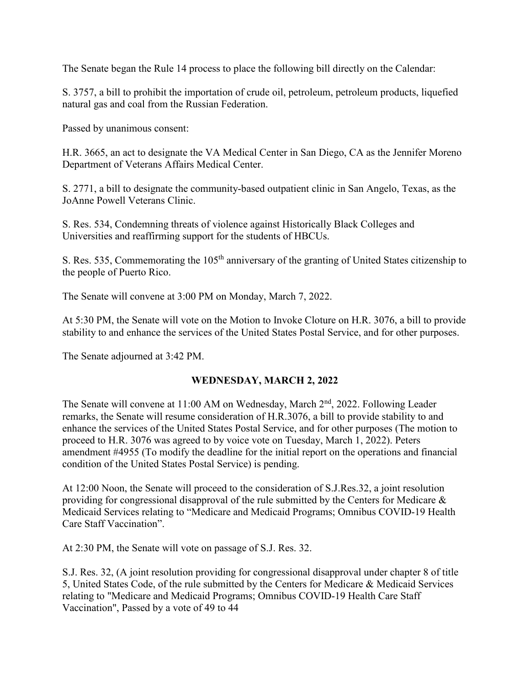The Senate began the Rule 14 process to place the following bill directly on the Calendar:

S. 3757, a bill to prohibit the importation of crude oil, petroleum, petroleum products, liquefied natural gas and coal from the Russian Federation.

Passed by unanimous consent:

H.R. 3665, an act to designate the VA Medical Center in San Diego, CA as the Jennifer Moreno Department of Veterans Affairs Medical Center.

S. 2771, a bill to designate the community-based outpatient clinic in San Angelo, Texas, as the JoAnne Powell Veterans Clinic.

S. Res. 534, Condemning threats of violence against Historically Black Colleges and Universities and reaffirming support for the students of HBCUs.

S. Res. 535, Commemorating the 105<sup>th</sup> anniversary of the granting of United States citizenship to the people of Puerto Rico.

The Senate will convene at 3:00 PM on Monday, March 7, 2022.

At 5:30 PM, the Senate will vote on the Motion to Invoke Cloture on H.R. 3076, a bill to provide stability to and enhance the services of the United States Postal Service, and for other purposes.

The Senate adjourned at 3:42 PM.

#### **WEDNESDAY, MARCH 2, 2022**

The Senate will convene at 11:00 AM on Wednesday, March 2<sup>nd</sup>, 2022. Following Leader remarks, the Senate will resume consideration of H.R.3076, a bill to provide stability to and enhance the services of the United States Postal Service, and for other purposes (The motion to proceed to H.R. 3076 was agreed to by voice vote on Tuesday, March 1, 2022). Peters amendment #4955 (To modify the deadline for the initial report on the operations and financial condition of the United States Postal Service) is pending.

At 12:00 Noon, the Senate will proceed to the consideration of S.J.Res.32, a joint resolution providing for congressional disapproval of the rule submitted by the Centers for Medicare & Medicaid Services relating to "Medicare and Medicaid Programs; Omnibus COVID-19 Health Care Staff Vaccination".

At 2:30 PM, the Senate will vote on passage of S.J. Res. 32.

S.J. Res. 32, (A joint resolution providing for congressional disapproval under chapter 8 of title 5, United States Code, of the rule submitted by the Centers for Medicare & Medicaid Services relating to "Medicare and Medicaid Programs; Omnibus COVID-19 Health Care Staff Vaccination", Passed by a vote of 49 to 44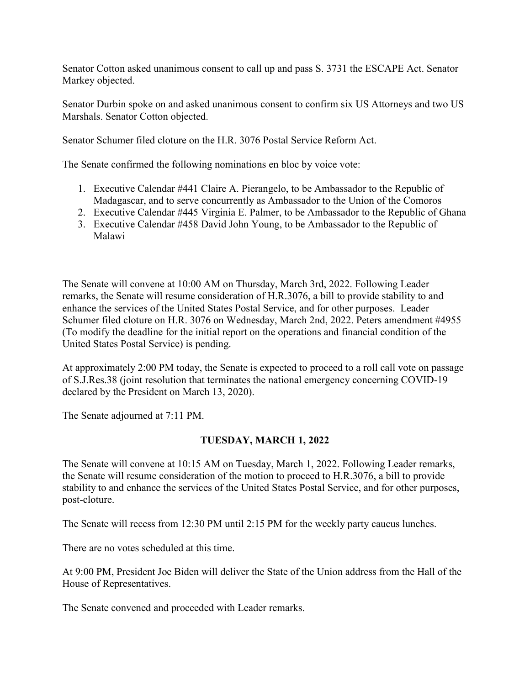Senator Cotton asked unanimous consent to call up and pass S. 3731 the ESCAPE Act. Senator Markey objected.

Senator Durbin spoke on and asked unanimous consent to confirm six US Attorneys and two US Marshals. Senator Cotton objected.

Senator Schumer filed cloture on the H.R. 3076 Postal Service Reform Act.

The Senate confirmed the following nominations en bloc by voice vote:

- 1. Executive Calendar #441 Claire A. Pierangelo, to be Ambassador to the Republic of Madagascar, and to serve concurrently as Ambassador to the Union of the Comoros
- 2. Executive Calendar #445 Virginia E. Palmer, to be Ambassador to the Republic of Ghana
- 3. Executive Calendar #458 David John Young, to be Ambassador to the Republic of Malawi

The Senate will convene at 10:00 AM on Thursday, March 3rd, 2022. Following Leader remarks, the Senate will resume consideration of H.R.3076, a bill to provide stability to and enhance the services of the United States Postal Service, and for other purposes. Leader Schumer filed cloture on H.R. 3076 on Wednesday, March 2nd, 2022. Peters amendment #4955 (To modify the deadline for the initial report on the operations and financial condition of the United States Postal Service) is pending.

At approximately 2:00 PM today, the Senate is expected to proceed to a roll call vote on passage of S.J.Res.38 (joint resolution that terminates the national emergency concerning COVID-19 declared by the President on March 13, 2020).

The Senate adjourned at 7:11 PM.

## **TUESDAY, MARCH 1, 2022**

The Senate will convene at 10:15 AM on Tuesday, March 1, 2022. Following Leader remarks, the Senate will resume consideration of the motion to proceed to H.R.3076, a bill to provide stability to and enhance the services of the United States Postal Service, and for other purposes, post-cloture.

The Senate will recess from 12:30 PM until 2:15 PM for the weekly party caucus lunches.

There are no votes scheduled at this time.

At 9:00 PM, President Joe Biden will deliver the State of the Union address from the Hall of the House of Representatives.

The Senate convened and proceeded with Leader remarks.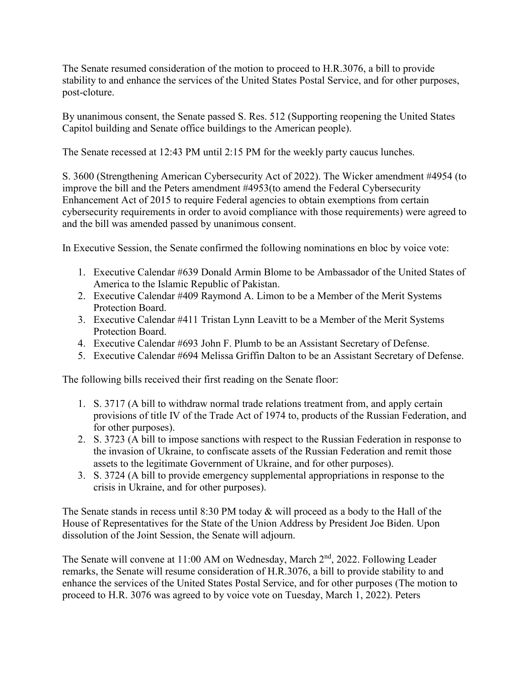The Senate resumed consideration of the motion to proceed to H.R.3076, a bill to provide stability to and enhance the services of the United States Postal Service, and for other purposes, post-cloture.

By unanimous consent, the Senate passed S. Res. 512 (Supporting reopening the United States Capitol building and Senate office buildings to the American people).

The Senate recessed at 12:43 PM until 2:15 PM for the weekly party caucus lunches.

S. 3600 (Strengthening American Cybersecurity Act of 2022). The Wicker amendment #4954 (to improve the bill and the Peters amendment #4953(to amend the Federal Cybersecurity Enhancement Act of 2015 to require Federal agencies to obtain exemptions from certain cybersecurity requirements in order to avoid compliance with those requirements) were agreed to and the bill was amended passed by unanimous consent.

In Executive Session, the Senate confirmed the following nominations en bloc by voice vote:

- 1. Executive Calendar #639 Donald Armin Blome to be Ambassador of the United States of America to the Islamic Republic of Pakistan.
- 2. Executive Calendar #409 Raymond A. Limon to be a Member of the Merit Systems Protection Board.
- 3. Executive Calendar #411 Tristan Lynn Leavitt to be a Member of the Merit Systems Protection Board.
- 4. Executive Calendar #693 John F. Plumb to be an Assistant Secretary of Defense.
- 5. Executive Calendar #694 Melissa Griffin Dalton to be an Assistant Secretary of Defense.

The following bills received their first reading on the Senate floor:

- 1. S. 3717 (A bill to withdraw normal trade relations treatment from, and apply certain provisions of title IV of the Trade Act of 1974 to, products of the Russian Federation, and for other purposes).
- 2. S. 3723 (A bill to impose sanctions with respect to the Russian Federation in response to the invasion of Ukraine, to confiscate assets of the Russian Federation and remit those assets to the legitimate Government of Ukraine, and for other purposes).
- 3. S. 3724 (A bill to provide emergency supplemental appropriations in response to the crisis in Ukraine, and for other purposes).

The Senate stands in recess until 8:30 PM today & will proceed as a body to the Hall of the House of Representatives for the State of the Union Address by President Joe Biden. Upon dissolution of the Joint Session, the Senate will adjourn.

The Senate will convene at 11:00 AM on Wednesday, March 2<sup>nd</sup>, 2022. Following Leader remarks, the Senate will resume consideration of H.R.3076, a bill to provide stability to and enhance the services of the United States Postal Service, and for other purposes (The motion to proceed to H.R. 3076 was agreed to by voice vote on Tuesday, March 1, 2022). Peters